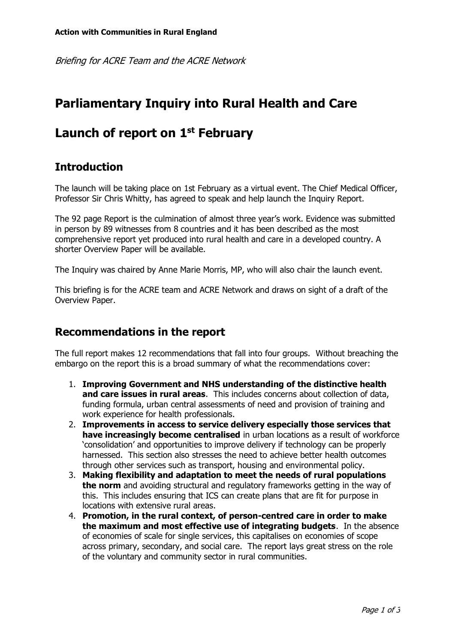Briefing for ACRE Team and the ACRE Network

# **Parliamentary Inquiry into Rural Health and Care**

# **Launch of report on 1 st February**

#### **Introduction**

The launch will be taking place on 1st February as a virtual event. The Chief Medical Officer, Professor Sir Chris Whitty, has agreed to speak and help launch the Inquiry Report.

The 92 page Report is the culmination of almost three year's work. Evidence was submitted in person by 89 witnesses from 8 countries and it has been described as the most comprehensive report yet produced into rural health and care in a developed country. A shorter Overview Paper will be available.

The Inquiry was chaired by Anne Marie Morris, MP, who will also chair the launch event.

This briefing is for the ACRE team and ACRE Network and draws on sight of a draft of the Overview Paper.

#### **Recommendations in the report**

The full report makes 12 recommendations that fall into four groups. Without breaching the embargo on the report this is a broad summary of what the recommendations cover:

- 1. **Improving Government and NHS understanding of the distinctive health and care issues in rural areas**. This includes concerns about collection of data, funding formula, urban central assessments of need and provision of training and work experience for health professionals.
- 2. **Improvements in access to service delivery especially those services that have increasingly become centralised** in urban locations as a result of workforce 'consolidation' and opportunities to improve delivery if technology can be properly harnessed. This section also stresses the need to achieve better health outcomes through other services such as transport, housing and environmental policy.
- 3. **Making flexibility and adaptation to meet the needs of rural populations the norm** and avoiding structural and regulatory frameworks getting in the way of this. This includes ensuring that ICS can create plans that are fit for purpose in locations with extensive rural areas.
- 4. **Promotion, in the rural context, of person-centred care in order to make the maximum and most effective use of integrating budgets**. In the absence of economies of scale for single services, this capitalises on economies of scope across primary, secondary, and social care. The report lays great stress on the role of the voluntary and community sector in rural communities.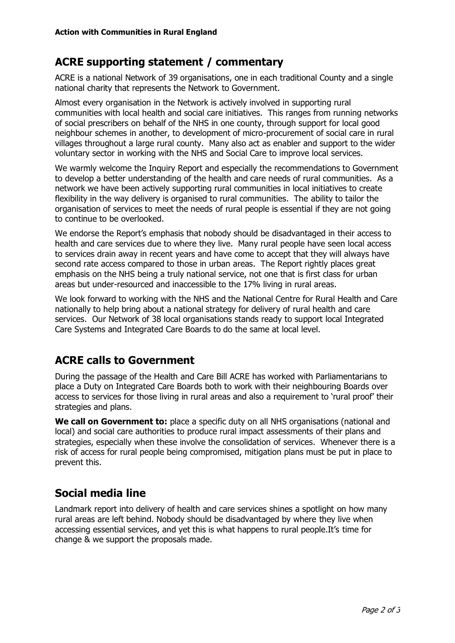## **ACRE supporting statement / commentary**

ACRE is a national Network of 39 organisations, one in each traditional County and a single national charity that represents the Network to Government.

Almost every organisation in the Network is actively involved in supporting rural communities with local health and social care initiatives. This ranges from running networks of social prescribers on behalf of the NHS in one county, through support for local good neighbour schemes in another, to development of micro-procurement of social care in rural villages throughout a large rural county. Many also act as enabler and support to the wider voluntary sector in working with the NHS and Social Care to improve local services.

We warmly welcome the Inquiry Report and especially the recommendations to Government to develop a better understanding of the health and care needs of rural communities. As a network we have been actively supporting rural communities in local initiatives to create flexibility in the way delivery is organised to rural communities. The ability to tailor the organisation of services to meet the needs of rural people is essential if they are not going to continue to be overlooked.

We endorse the Report's emphasis that nobody should be disadvantaged in their access to health and care services due to where they live. Many rural people have seen local access to services drain away in recent years and have come to accept that they will always have second rate access compared to those in urban areas. The Report rightly places great emphasis on the NHS being a truly national service, not one that is first class for urban areas but under-resourced and inaccessible to the 17% living in rural areas.

We look forward to working with the NHS and the National Centre for Rural Health and Care nationally to help bring about a national strategy for delivery of rural health and care services. Our Network of 38 local organisations stands ready to support local Integrated Care Systems and Integrated Care Boards to do the same at local level.

#### **ACRE calls to Government**

During the passage of the Health and Care Bill ACRE has worked with Parliamentarians to place a Duty on Integrated Care Boards both to work with their neighbouring Boards over access to services for those living in rural areas and also a requirement to 'rural proof' their strategies and plans.

**We call on Government to:** place a specific duty on all NHS organisations (national and local) and social care authorities to produce rural impact assessments of their plans and strategies, especially when these involve the consolidation of services. Whenever there is a risk of access for rural people being compromised, mitigation plans must be put in place to prevent this.

## **Social media line**

Landmark report into delivery of health and care services shines a spotlight on how many rural areas are left behind. Nobody should be disadvantaged by where they live when accessing essential services, and yet this is what happens to rural people.It's time for change & we support the proposals made.